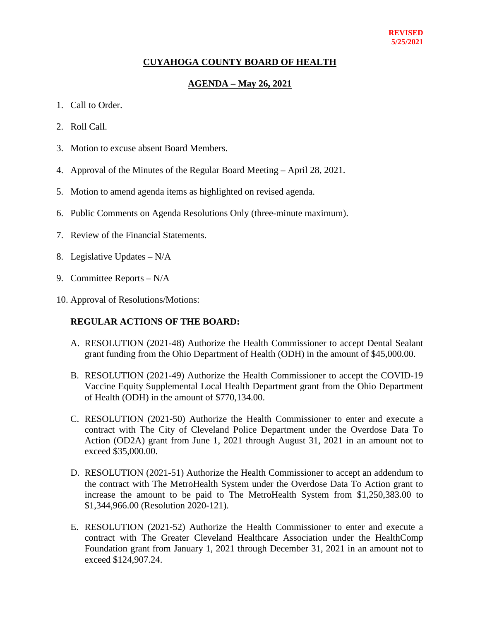## **CUYAHOGA COUNTY BOARD OF HEALTH**

## **AGENDA – May 26, 2021**

- 1. Call to Order.
- 2. Roll Call.
- 3. Motion to excuse absent Board Members.
- 4. Approval of the Minutes of the Regular Board Meeting April 28, 2021.
- 5. Motion to amend agenda items as highlighted on revised agenda.
- 6. Public Comments on Agenda Resolutions Only (three-minute maximum).
- 7. Review of the Financial Statements.
- 8. Legislative Updates N/A
- 9. Committee Reports N/A
- 10. Approval of Resolutions/Motions:

### **REGULAR ACTIONS OF THE BOARD:**

- A. RESOLUTION (2021-48) Authorize the Health Commissioner to accept Dental Sealant grant funding from the Ohio Department of Health (ODH) in the amount of \$45,000.00.
- B. RESOLUTION (2021-49) Authorize the Health Commissioner to accept the COVID-19 Vaccine Equity Supplemental Local Health Department grant from the Ohio Department of Health (ODH) in the amount of \$770,134.00.
- C. RESOLUTION (2021-50) Authorize the Health Commissioner to enter and execute a contract with The City of Cleveland Police Department under the Overdose Data To Action (OD2A) grant from June 1, 2021 through August 31, 2021 in an amount not to exceed \$35,000.00.
- D. RESOLUTION (2021-51) Authorize the Health Commissioner to accept an addendum to the contract with The MetroHealth System under the Overdose Data To Action grant to increase the amount to be paid to The MetroHealth System from \$1,250,383.00 to \$1,344,966.00 (Resolution 2020-121).
- E. RESOLUTION (2021-52) Authorize the Health Commissioner to enter and execute a contract with The Greater Cleveland Healthcare Association under the HealthComp Foundation grant from January 1, 2021 through December 31, 2021 in an amount not to exceed \$124,907.24.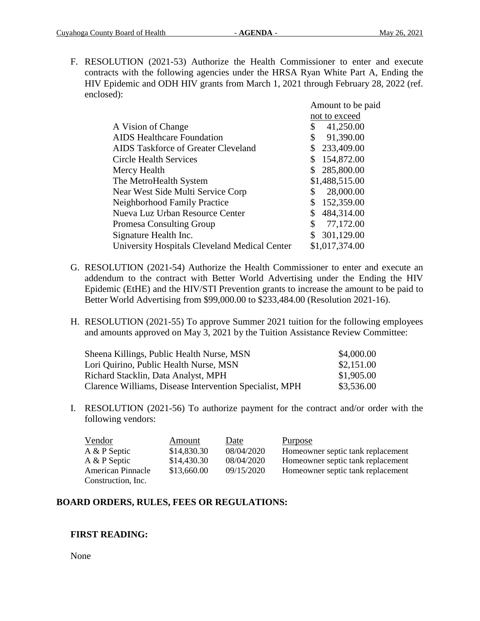F. RESOLUTION (2021-53) Authorize the Health Commissioner to enter and execute contracts with the following agencies under the HRSA Ryan White Part A, Ending the HIV Epidemic and ODH HIV grants from March 1, 2021 through February 28, 2022 (ref. enclosed):

|                                                      | Amount to be paid |
|------------------------------------------------------|-------------------|
|                                                      | not to exceed     |
| A Vision of Change                                   | 41,250.00<br>\$   |
| <b>AIDS</b> Healthcare Foundation                    | 91,390.00<br>\$   |
| <b>AIDS</b> Taskforce of Greater Cleveland           | 233,409.00<br>\$  |
| <b>Circle Health Services</b>                        | 154,872.00        |
| Mercy Health                                         | 285,800.00<br>\$  |
| The MetroHealth System                               | \$1,488,515.00    |
| Near West Side Multi Service Corp                    | 28,000.00<br>\$   |
| Neighborhood Family Practice                         | \$<br>152,359.00  |
| Nueva Luz Urban Resource Center                      | 484,314.00<br>\$  |
| <b>Promesa Consulting Group</b>                      | \$<br>77,172.00   |
| Signature Health Inc.                                | \$<br>301,129.00  |
| <b>University Hospitals Cleveland Medical Center</b> | \$1,017,374.00    |
|                                                      |                   |

- G. RESOLUTION (2021-54) Authorize the Health Commissioner to enter and execute an addendum to the contract with Better World Advertising under the Ending the HIV Epidemic (EtHE) and the HIV/STI Prevention grants to increase the amount to be paid to Better World Advertising from \$99,000.00 to \$233,484.00 (Resolution 2021-16).
- H. RESOLUTION (2021-55) To approve Summer 2021 tuition for the following employees and amounts approved on May 3, 2021 by the Tuition Assistance Review Committee:

| Sheena Killings, Public Health Nurse, MSN               | \$4,000.00 |
|---------------------------------------------------------|------------|
| Lori Quirino, Public Health Nurse, MSN                  | \$2,151.00 |
| Richard Stacklin, Data Analyst, MPH                     | \$1,905.00 |
| Clarence Williams, Disease Intervention Specialist, MPH | \$3,536.00 |

I. RESOLUTION (2021-56) To authorize payment for the contract and/or order with the following vendors:

| Vendor                   | Amount      | Date       | Purpose                           |
|--------------------------|-------------|------------|-----------------------------------|
| A & P Septic             | \$14,830.30 | 08/04/2020 | Homeowner septic tank replacement |
| A & P Septic             | \$14,430.30 | 08/04/2020 | Homeowner septic tank replacement |
| <b>American Pinnacle</b> | \$13,660.00 | 09/15/2020 | Homeowner septic tank replacement |
| Construction, Inc.       |             |            |                                   |

# **BOARD ORDERS, RULES, FEES OR REGULATIONS:**

### **FIRST READING:**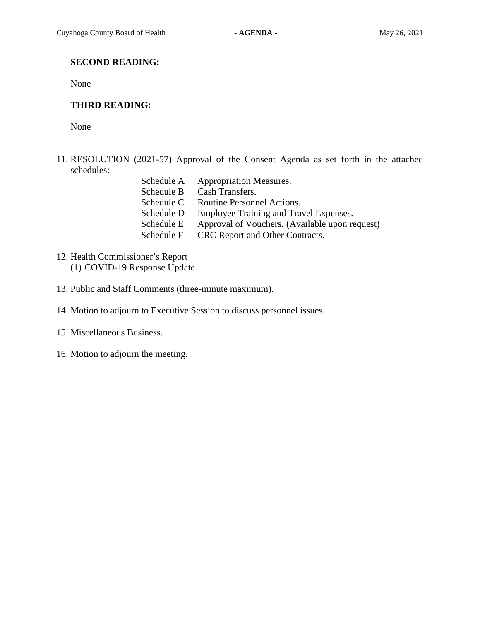## **SECOND READING:**

None

# **THIRD READING:**

- 11. RESOLUTION (2021-57) Approval of the Consent Agenda as set forth in the attached schedules:
	- Schedule A Appropriation Measures. Schedule B Cash Transfers. Schedule C Routine Personnel Actions.<br>Schedule D Employee Training and Tra Employee Training and Travel Expenses. Schedule E Approval of Vouchers. (Available upon request) Schedule F CRC Report and Other Contracts.
- 12. Health Commissioner's Report (1) COVID-19 Response Update
- 13. Public and Staff Comments (three-minute maximum).
- 14. Motion to adjourn to Executive Session to discuss personnel issues.
- 15. Miscellaneous Business.
- 16. Motion to adjourn the meeting.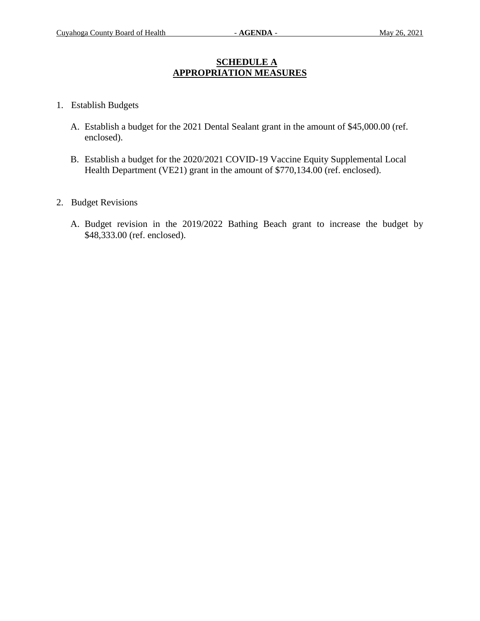## **SCHEDULE A APPROPRIATION MEASURES**

- 1. Establish Budgets
	- A. Establish a budget for the 2021 Dental Sealant grant in the amount of \$45,000.00 (ref. enclosed).
	- B. Establish a budget for the 2020/2021 COVID-19 Vaccine Equity Supplemental Local Health Department (VE21) grant in the amount of \$770,134.00 (ref. enclosed).
- 2. Budget Revisions
	- A. Budget revision in the 2019/2022 Bathing Beach grant to increase the budget by \$48,333.00 (ref. enclosed).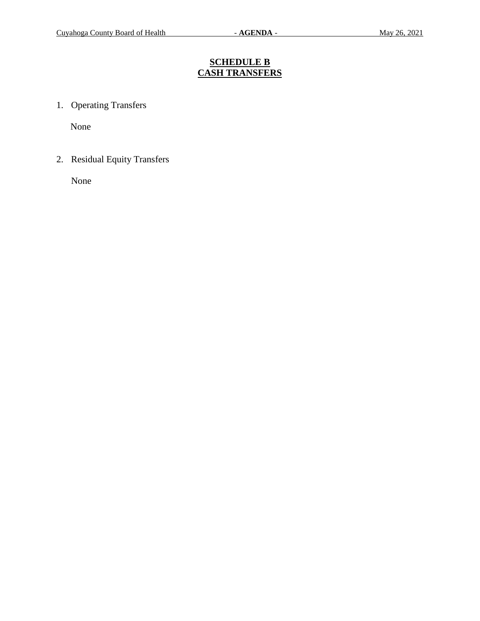# **SCHEDULE B CASH TRANSFERS**

1. Operating Transfers

None

2. Residual Equity Transfers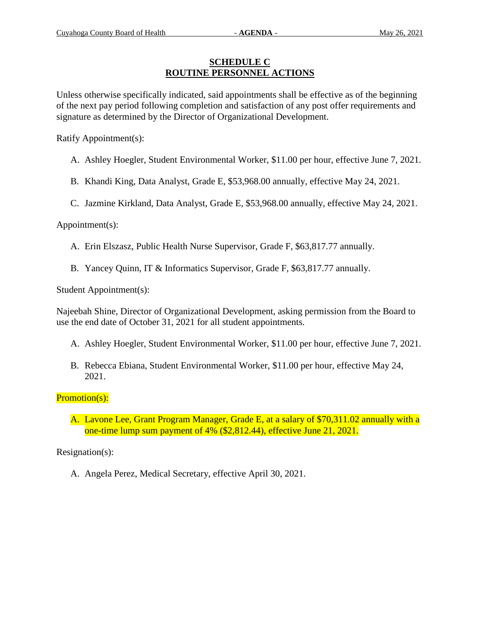## **SCHEDULE C ROUTINE PERSONNEL ACTIONS**

Unless otherwise specifically indicated, said appointments shall be effective as of the beginning of the next pay period following completion and satisfaction of any post offer requirements and signature as determined by the Director of Organizational Development.

Ratify Appointment(s):

- A. Ashley Hoegler, Student Environmental Worker, \$11.00 per hour, effective June 7, 2021.
- B. Khandi King, Data Analyst, Grade E, \$53,968.00 annually, effective May 24, 2021.
- C. Jazmine Kirkland, Data Analyst, Grade E, \$53,968.00 annually, effective May 24, 2021.

Appointment(s):

- A. Erin Elszasz, Public Health Nurse Supervisor, Grade F, \$63,817.77 annually.
- B. Yancey Quinn, IT & Informatics Supervisor, Grade F, \$63,817.77 annually.

Student Appointment(s):

Najeebah Shine, Director of Organizational Development, asking permission from the Board to use the end date of October 31, 2021 for all student appointments.

- A. Ashley Hoegler, Student Environmental Worker, \$11.00 per hour, effective June 7, 2021.
- B. Rebecca Ebiana, Student Environmental Worker, \$11.00 per hour, effective May 24, 2021.

Promotion(s):

A. Lavone Lee, Grant Program Manager, Grade E, at a salary of \$70,311.02 annually with a one-time lump sum payment of 4% (\$2,812.44), effective June 21, 2021.

Resignation(s):

A. Angela Perez, Medical Secretary, effective April 30, 2021.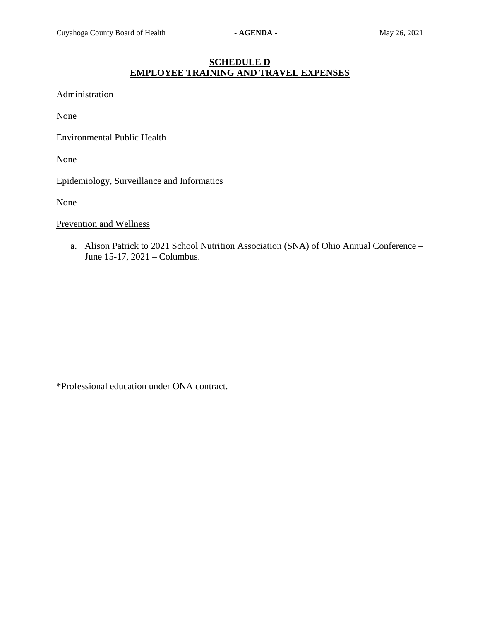# **SCHEDULE D EMPLOYEE TRAINING AND TRAVEL EXPENSES**

Administration

None

Environmental Public Health

None

Epidemiology, Surveillance and Informatics

None

#### Prevention and Wellness

a. Alison Patrick to 2021 School Nutrition Association (SNA) of Ohio Annual Conference – June 15-17, 2021 – Columbus.

\*Professional education under ONA contract.